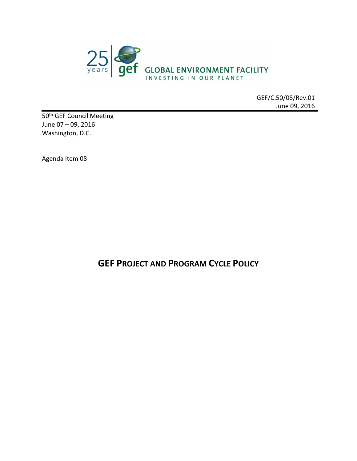

GEF/C.50/08/Rev.01 June 09, 2016

50<sup>th</sup> GEF Council Meeting June 07 – 09, 2016 Washington, D.C.

Agenda Item 08

**GEF PROJECT AND PROGRAM CYCLE POLICY**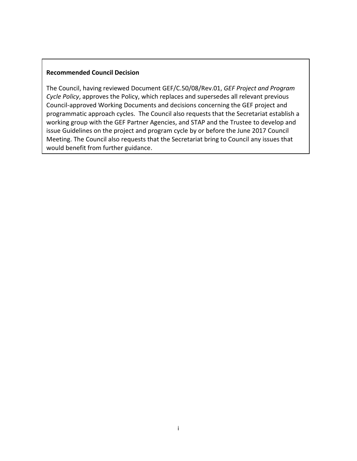#### **Recommended Council Decision**

The Council, having reviewed Document GEF/C.50/08/Rev.01, *GEF Project and Program Cycle Policy*, approves the Policy, which replaces and supersedes all relevant previous Council-approved Working Documents and decisions concerning the GEF project and programmatic approach cycles. The Council also requests that the Secretariat establish a working group with the GEF Partner Agencies, and STAP and the Trustee to develop and issue Guidelines on the project and program cycle by or before the June 2017 Council Meeting. The Council also requests that the Secretariat bring to Council any issues that would benefit from further guidance.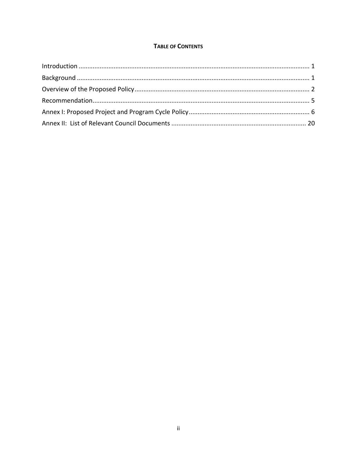### **TABLE OF CONTENTS**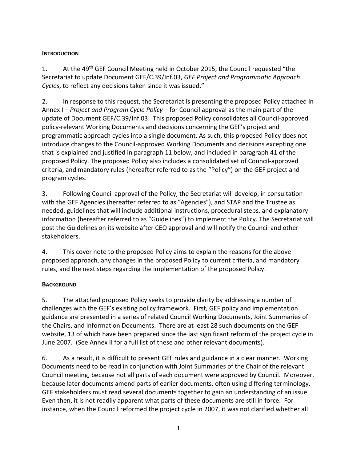### <span id="page-3-0"></span>**INTRODUCTION**

1. At the 49<sup>th</sup> GEF Council Meeting held in October 2015, the Council requested "the Secretariat to update Document GEF/C.39/Inf.03, *GEF Project and Programmatic Approach Cycles*, to reflect any decisions taken since it was issued."

2. In response to this request, the Secretariat is presenting the proposed Policy attached in Annex I – *Project and Program Cycle Policy* – for Council approval as the main part of the update of Document GEF/C.39/Inf.03. This proposed Policy consolidates all Council-approved policy-relevant Working Documents and decisions concerning the GEF's project and programmatic approach cycles into a single document. As such, this proposed Policy does not introduce changes to the Council-approved Working Documents and decisions excepting one that is explained and justified in paragraph [11](#page-5-0) below, and included in paragraph [41](#page-20-0) of the proposed Policy. The proposed Policy also includes a consolidated set of Council-approved criteria, and mandatory rules (hereafter referred to as the "Policy") on the GEF project and program cycles.

3. Following Council approval of the Policy, the Secretariat will develop, in consultation with the GEF Agencies (hereafter referred to as "Agencies"), and STAP and the Trustee as needed, guidelines that will include additional instructions, procedural steps, and explanatory information (hereafter referred to as "Guidelines") to implement the Policy. The Secretariat will post the Guidelines on its website after CEO approval and will notify the Council and other stakeholders.

4. This cover note to the proposed Policy aims to explain the reasons for the above proposed approach, any changes in the proposed Policy to current criteria, and mandatory rules, and the next steps regarding the implementation of the proposed Policy.

# <span id="page-3-1"></span>**BACKGROUND**

5. The attached proposed Policy seeks to provide clarity by addressing a number of challenges with the GEF's existing policy framework. First, GEF policy and implementation guidance are presented in a series of related Council Working Documents, Joint Summaries of the Chairs, and Information Documents. There are at least 28 such documents on the GEF website, 13 of which have been prepared since the last significant reform of the project cycle in June 2007. (See Annex II for a full list of these and other relevant documents).

6. As a result, it is difficult to present GEF rules and guidance in a clear manner. Working Documents need to be read in conjunction with Joint Summaries of the Chair of the relevant Council meeting, because not all parts of each document were approved by Council. Moreover, because later documents amend parts of earlier documents, often using differing terminology, GEF stakeholders must read several documents together to gain an understanding of an issue. Even then, it is not readily apparent what parts of these documents are still in force. For instance, when the Council reformed the project cycle in 2007, it was not clarified whether all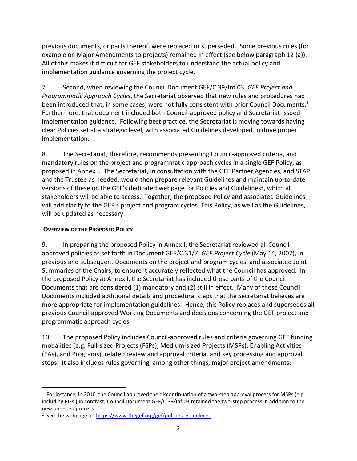previous documents, or parts thereof, were replaced or superseded. Some previous rules (for example on Major Amendments to projects) remained in effect (see below paragraph 12 (a)). All of this makes it difficult for GEF stakeholders to understand the actual policy and implementation guidance governing the project cycle.

7. Second, when reviewing the Council Document GEF/C.39/Inf.03, *GEF Project and Programmatic Approach Cycles*, the Secretariat observed that new rules and procedures had been introduced that, in some cases, were not fully consistent with prior Council Documents.<sup>1</sup> Furthermore, that document included both Council-approved policy and Secretariat-issued implementation guidance. Following best practice, the Secretariat is moving towards having clear Policies set at a strategic level, with associated Guidelines developed to drive proper implementation.

8. The Secretariat, therefore, recommends presenting Council-approved criteria, and mandatory rules on the project and programmatic approach cycles in a single GEF Policy, as proposed in Annex I. The Secretariat, in consultation with the GEF Partner Agencies, and STAP and the Trustee as needed, would then prepare relevant Guidelines and maintain up-to-date versions of these on the GEF's dedicated webpage for Policies and Guidelines<sup>2</sup>, which all stakeholders will be able to access. Together, the proposed Policy and associated Guidelines will add clarity to the GEF's project and program cycles. This Policy, as well as the Guidelines, will be updated as necessary.

### <span id="page-4-0"></span>**OVERVIEW OF THE PROPOSED POLICY**

 $\overline{a}$ 

9. In preparing the proposed Policy in Annex I, the Secretariat reviewed all Councilapproved policies as set forth in Document GEF/C.31/7, *GEF Project Cycle* (May 14, 2007), in previous and subsequent Documents on the project and program cycles, and associated Joint Summaries of the Chairs, to ensure it accurately reflected what the Council has approved. In the proposed Policy at Annex I, the Secretariat has included those parts of the Council Documents that are considered (1) mandatory and (2) still in effect. Many of these Council Documents included additional details and procedural steps that the Secretariat believes are more appropriate for implementation guidelines. Hence, this Policy replaces and supersedes all previous Council-approved Working Documents and decisions concerning the GEF project and programmatic approach cycles.

10. The proposed Policy includes Council-approved rules and criteria governing GEF funding modalities (e.g. Full-sized Projects (FSPs), Medium-sized Projects (MSPs), Enabling Activities (EAs), and Programs), related review and approval criteria, and key processing and approval steps. It also includes rules governing, among other things, major project amendments;

<sup>&</sup>lt;sup>1</sup> For instance, in 2010, the Council approved the discontinuation of a two-step approval process for MSPs (e.g. including PIFs.) In contrast, Council Document GEF/C.39/Inf.03 retained the two-step process in addition to the new one-step process.

<sup>&</sup>lt;sup>2</sup> See the webpage at: [https://www.thegef.org/gef/policies\\_guidelines.](https://www.thegef.org/gef/policies_guidelines)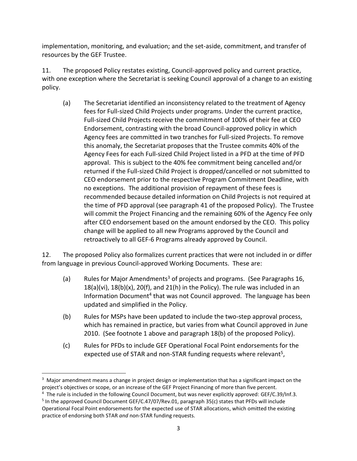implementation, monitoring, and evaluation; and the set-aside, commitment, and transfer of resources by the GEF Trustee.

<span id="page-5-0"></span>11. The proposed Policy restates existing, Council-approved policy and current practice, with one exception where the Secretariat is seeking Council approval of a change to an existing policy.

(a) The Secretariat identified an inconsistency related to the treatment of Agency fees for Full-sized Child Projects under programs. Under the current practice, Full-sized Child Projects receive the commitment of 100% of their fee at CEO Endorsement, contrasting with the broad Council-approved policy in which Agency fees are committed in two tranches for Full-sized Projects. To remove this anomaly, the Secretariat proposes that the Trustee commits 40% of the Agency Fees for each Full-sized Child Project listed in a PFD at the time of PFD approval. This is subject to the 40% fee commitment being cancelled and/or returned if the Full-sized Child Project is dropped/cancelled or not submitted to CEO endorsement prior to the respective Program Commitment Deadline, with no exceptions. The additional provision of repayment of these fees is recommended because detailed information on Child Projects is not required at the time of PFD approval (see paragraph [41](#page-20-0) of the proposed Policy). The Trustee will commit the Project Financing and the remaining 60% of the Agency Fee only after CEO endorsement based on the amount endorsed by the CEO. This policy change will be applied to all new Programs approved by the Council and retroactively to all GEF-6 Programs already approved by Council.

<span id="page-5-1"></span>12. The proposed Policy also formalizes current practices that were not included in or differ from language in previous Council-approved Working Documents. These are:

- (a) Rules for Major Amendments<sup>3</sup> of projects and programs. (See Paragraph[s 16,](#page-14-0)  $18(a)(vi)$  $18(a)(vi)$ ,  $18(b)(x)$ ,  $20(f)$ , and  $21(h)$  in the Policy). The rule was included in an Information Document<sup>4</sup> that was not Council approved. The language has been updated and simplified in the Policy.
- (b) Rules for MSPs have been updated to include the two-step approval process, which has remained in practice, but varies from what Council approved in June 2010. (See footnote 1 above and paragraph [18\(](#page-14-1)b) of the proposed Policy).
- (c) Rules for PFDs to include GEF Operational Focal Point endorsements for the expected use of STAR and non-STAR funding requests where relevant<sup>5</sup>,

 $\overline{a}$ 

 $3$  Major amendment means a change in project design or implementation that has a significant impact on the project's objectives or scope, or an increase of the GEF Project Financing of more than five percent.

<sup>4</sup> The rule is included in the following Council Document, but was never explicitly approved: GEF/C.39/Inf.3.

<sup>&</sup>lt;sup>5</sup> In the approved Council Document GEF/C.47/07/Rev.01, paragraph 35(c) states that PFDs will include Operational Focal Point endorsements for the expected use of STAR allocations, which omitted the existing practice of endorsing both STAR *and* non-STAR funding requests.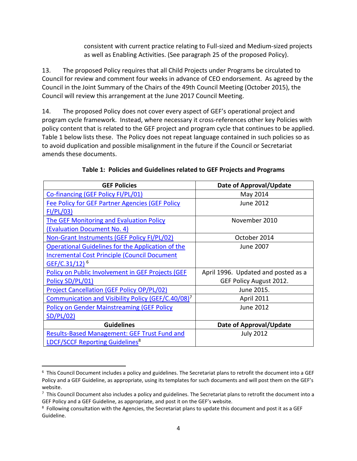consistent with current practice relating to Full-sized and Medium-sized projects as well as Enabling Activities. (See paragraph [25](#page-18-0) of the proposed Policy).

13. The proposed Policy requires that all Child Projects under Programs be circulated to Council for review and comment four weeks in advance of CEO endorsement. As agreed by the Council in the Joint Summary of the Chairs of the 49th Council Meeting (October 2015), the Council will review this arrangement at the June 2017 Council Meeting.

14. The proposed Policy does not cover every aspect of GEF's operational project and program cycle framework. Instead, where necessary it cross-references other key Policies with policy content that is related to the GEF project and program cycle that continues to be applied. Table 1 below lists these. The Policy does not repeat language contained in such policies so as to avoid duplication and possible misalignment in the future if the Council or Secretariat amends these documents.

| <b>GEF Policies</b>                                            | Date of Approval/Update             |
|----------------------------------------------------------------|-------------------------------------|
| Co-financing (GEF Policy FI/PL/01)                             | May 2014                            |
| <b>Fee Policy for GEF Partner Agencies (GEF Policy</b>         | <b>June 2012</b>                    |
| FI/PL/03)                                                      |                                     |
| <b>The GEF Monitoring and Evaluation Policy</b>                | November 2010                       |
| (Evaluation Document No. 4)                                    |                                     |
| Non-Grant Instruments (GEF Policy FI/PL/02)                    | October 2014                        |
| Operational Guidelines for the Application of the              | June 2007                           |
| <b>Incremental Cost Principle (Council Document</b>            |                                     |
| GEF/C.31/12) <sup>6</sup>                                      |                                     |
| Policy on Public Involvement in GEF Projects (GEF              | April 1996. Updated and posted as a |
| Policy SD/PL/01)                                               | GEF Policy August 2012.             |
| <b>Project Cancellation (GEF Policy OP/PL/02)</b>              | June 2015.                          |
| Communication and Visibility Policy (GEF/C.40/08) <sup>7</sup> | <b>April 2011</b>                   |
| <b>Policy on Gender Mainstreaming (GEF Policy</b>              | <b>June 2012</b>                    |
| SD/PL/02)                                                      |                                     |
| <b>Guidelines</b>                                              | Date of Approval/Update             |
| <b>Results-Based Management: GEF Trust Fund and</b>            | <b>July 2012</b>                    |
| <b>LDCF/SCCF Reporting Guidelines<sup>8</sup></b>              |                                     |

#### **Table 1: Policies and Guidelines related to GEF Projects and Programs**

 $\overline{a}$ 

 $6$  This Council Document includes a policy and guidelines. The Secretariat plans to retrofit the document into a GEF Policy and a GEF Guideline, as appropriate, using its templates for such documents and will post them on the GEF's website.

 $^7$  This Council Document also includes a policy and guidelines. The Secretariat plans to retrofit the document into a GEF Policy and a GEF Guideline, as appropriate, and post it on the GEF's website.

 $8$  Following consultation with the Agencies, the Secretariat plans to update this document and post it as a GEF Guideline.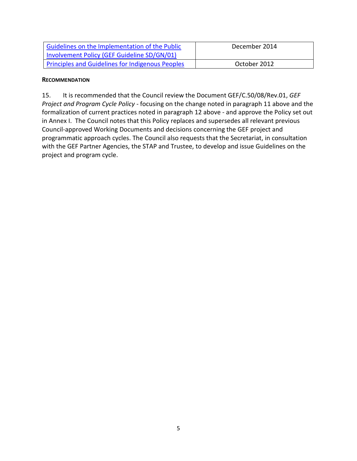| Guidelines on the Implementation of the Public   | December 2014 |
|--------------------------------------------------|---------------|
| Involvement Policy (GEF Guideline SD/GN/01)      |               |
| Principles and Guidelines for Indigenous Peoples | October 2012  |

#### <span id="page-7-0"></span>**RECOMMENDATION**

15. It is recommended that the Council review the Document GEF/C.50/08/Rev.01, *GEF Project and Program Cycle Policy -* focusing on the change noted in paragraph [11](#page-5-0) above and the formalization of current practices noted in paragraph [12](#page-5-1) above - and approve the Policy set out in Annex I. The Council notes that this Policy replaces and supersedes all relevant previous Council-approved Working Documents and decisions concerning the GEF project and programmatic approach cycles. The Council also requests that the Secretariat, in consultation with the GEF Partner Agencies, the STAP and Trustee, to develop and issue Guidelines on the project and program cycle.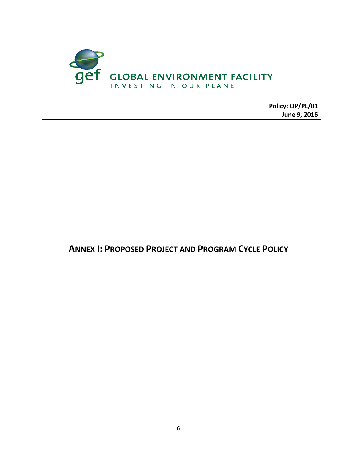

**June 9, 2016**

<span id="page-8-0"></span>**ANNEX I: PROPOSED PROJECT AND PROGRAM CYCLE POLICY**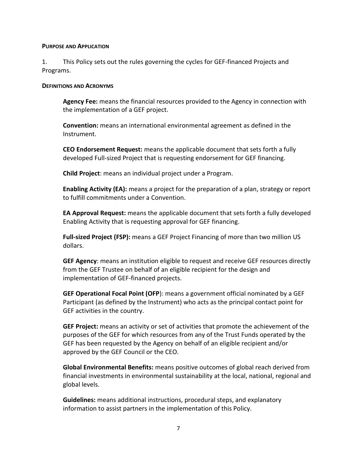#### **PURPOSE AND APPLICATION**

1. This Policy sets out the rules governing the cycles for GEF-financed Projects and Programs.

#### **DEFINITIONS AND ACRONYMS**

**Agency Fee:** means the financial resources provided to the Agency in connection with the implementation of a GEF project.

**Convention:** means an international environmental agreement as defined in the Instrument.

**CEO Endorsement Request:** means the applicable document that sets forth a fully developed Full-sized Project that is requesting endorsement for GEF financing.

**Child Project**: means an individual project under a Program.

**Enabling Activity (EA):** means a project for the preparation of a plan, strategy or report to fulfill commitments under a Convention.

**EA Approval Request:** means the applicable document that sets forth a fully developed Enabling Activity that is requesting approval for GEF financing.

**Full-sized Project (FSP):** means a GEF Project Financing of more than two million US dollars.

**GEF Agency**: means an institution eligible to request and receive GEF resources directly from the GEF Trustee on behalf of an eligible recipient for the design and implementation of GEF-financed projects.

**GEF Operational Focal Point (OFP**): means a government official nominated by a GEF Participant (as defined by the Instrument) who acts as the principal contact point for GEF activities in the country.

**GEF Project:** means an activity or set of activities that promote the achievement of the purposes of the GEF for which resources from any of the Trust Funds operated by the GEF has been requested by the Agency on behalf of an eligible recipient and/or approved by the GEF Council or the CEO.

**Global Environmental Benefits:** means positive outcomes of global reach derived from financial investments in environmental sustainability at the local, national, regional and global levels.

**Guidelines:** means additional instructions, procedural steps, and explanatory information to assist partners in the implementation of this Policy.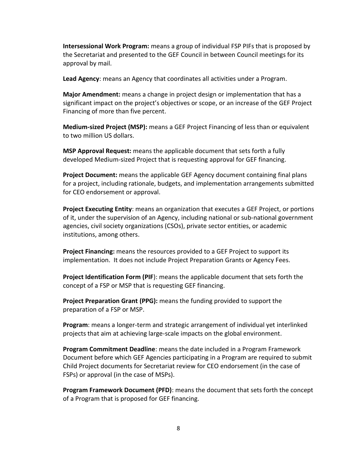**Intersessional Work Program:** means a group of individual FSP PIFs that is proposed by the Secretariat and presented to the GEF Council in between Council meetings for its approval by mail.

**Lead Agency**: means an Agency that coordinates all activities under a Program.

**Major Amendment:** means a change in project design or implementation that has a significant impact on the project's objectives or scope, or an increase of the GEF Project Financing of more than five percent.

**Medium-sized Project (MSP):** means a GEF Project Financing of less than or equivalent to two million US dollars.

**MSP Approval Request:** means the applicable document that sets forth a fully developed Medium-sized Project that is requesting approval for GEF financing.

**Project Document:** means the applicable GEF Agency document containing final plans for a project, including rationale, budgets, and implementation arrangements submitted for CEO endorsement or approval.

**Project Executing Entity**: means an organization that executes a GEF Project, or portions of it, under the supervision of an Agency, including national or sub-national government agencies, civil society organizations (CSOs), private sector entities, or academic institutions, among others.

**Project Financing:** means the resources provided to a GEF Project to support its implementation. It does not include Project Preparation Grants or Agency Fees.

**Project Identification Form (PIF**): means the applicable document that sets forth the concept of a FSP or MSP that is requesting GEF financing.

**Project Preparation Grant (PPG):** means the funding provided to support the preparation of a FSP or MSP.

**Program**: means a longer-term and strategic arrangement of individual yet interlinked projects that aim at achieving large-scale impacts on the global environment.

**Program Commitment Deadline**: means the date included in a Program Framework Document before which GEF Agencies participating in a Program are required to submit Child Project documents for Secretariat review for CEO endorsement (in the case of FSPs) or approval (in the case of MSPs).

**Program Framework Document (PFD)**: means the document that sets forth the concept of a Program that is proposed for GEF financing.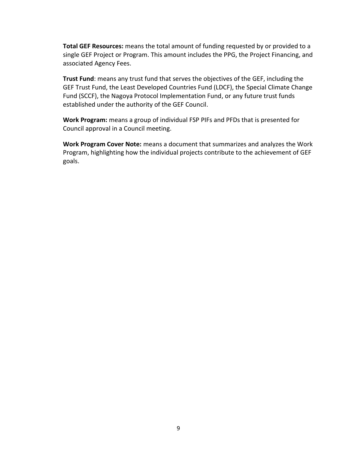**Total GEF Resources:** means the total amount of funding requested by or provided to a single GEF Project or Program. This amount includes the PPG, the Project Financing, and associated Agency Fees.

**Trust Fund**: means any trust fund that serves the objectives of the GEF, including the GEF Trust Fund, the Least Developed Countries Fund (LDCF), the Special Climate Change Fund (SCCF), the Nagoya Protocol Implementation Fund, or any future trust funds established under the authority of the GEF Council.

**Work Program:** means a group of individual FSP PIFs and PFDs that is presented for Council approval in a Council meeting.

**Work Program Cover Note:** means a document that summarizes and analyzes the Work Program, highlighting how the individual projects contribute to the achievement of GEF goals.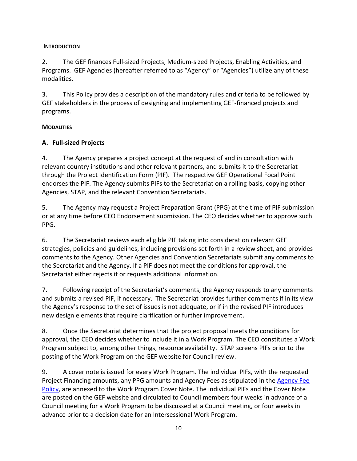### **INTRODUCTION**

2. The GEF finances Full-sized Projects, Medium-sized Projects, Enabling Activities, and Programs. GEF Agencies (hereafter referred to as "Agency" or "Agencies") utilize any of these modalities.

3. This Policy provides a description of the mandatory rules and criteria to be followed by GEF stakeholders in the process of designing and implementing GEF-financed projects and programs.

# **MODALITIES**

# **A. Full-sized Projects**

4. The Agency prepares a project concept at the request of and in consultation with relevant country institutions and other relevant partners, and submits it to the Secretariat through the Project Identification Form (PIF). The respective GEF Operational Focal Point endorses the PIF. The Agency submits PIFs to the Secretariat on a rolling basis, copying other Agencies, STAP, and the relevant Convention Secretariats.

5. The Agency may request a Project Preparation Grant (PPG) at the time of PIF submission or at any time before CEO Endorsement submission. The CEO decides whether to approve such PPG.

6. The Secretariat reviews each eligible PIF taking into consideration relevant GEF strategies, policies and guidelines, including provisions set forth in a review sheet, and provides comments to the Agency. Other Agencies and Convention Secretariats submit any comments to the Secretariat and the Agency. If a PIF does not meet the conditions for approval, the Secretariat either rejects it or requests additional information.

7. Following receipt of the Secretariat's comments, the Agency responds to any comments and submits a revised PIF, if necessary. The Secretariat provides further comments if in its view the Agency's response to the set of issues is not adequate, or if in the revised PIF introduces new design elements that require clarification or further improvement.

8. Once the Secretariat determines that the project proposal meets the conditions for approval, the CEO decides whether to include it in a Work Program. The CEO constitutes a Work Program subject to, among other things, resource availability. STAP screens PIFs prior to the posting of the Work Program on the GEF website for Council review.

9. A cover note is issued for every Work Program. The individual PIFs, with the requested Project Financing amounts, any PPG amounts and Agency Fees as stipulated in the Agency Fee [Policy,](file://///WB.AD.WORLDBANK.ORG/und$/wb327828/L/Operations/Documents/Agency_Fee_Policy-2012.pdf) are annexed to the Work Program Cover Note. The individual PIFs and the Cover Note are posted on the GEF website and circulated to Council members four weeks in advance of a Council meeting for a Work Program to be discussed at a Council meeting, or four weeks in advance prior to a decision date for an Intersessional Work Program.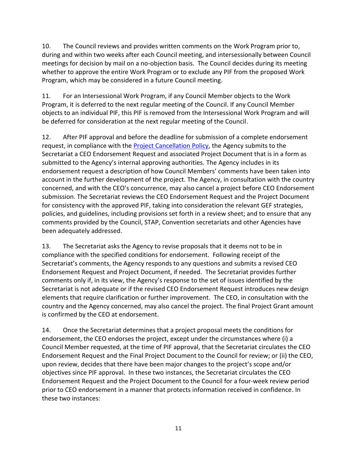10. The Council reviews and provides written comments on the Work Program prior to, during and within two weeks after each Council meeting, and intersessionally between Council meetings for decision by mail on a no-objection basis. The Council decides during its meeting whether to approve the entire Work Program or to exclude any PIF from the proposed Work Program, which may be considered in a future Council meeting.

11. For an Intersessional Work Program, if any Council Member objects to the Work Program, it is deferred to the next regular meeting of the Council. If any Council Member objects to an individual PIF, this PIF is removed from the Intersessional Work Program and will be deferred for consideration at the next regular meeting of the Council.

12. After PIF approval and before the deadline for submission of a complete endorsement request, in compliance with the [Project Cancellation Policy,](file://///WB.AD.WORLDBANK.ORG/und$/wb327828/L/Operations/Documents/Cancellation_Policy_June_2015_0.pdf) the Agency submits to the Secretariat a CEO Endorsement Request and associated Project Document that is in a form as submitted to the Agency's internal approving authorities. The Agency includes in its endorsement request a description of how Council Members' comments have been taken into account in the further development of the project. The Agency, in consultation with the country concerned, and with the CEO's concurrence, may also cancel a project before CEO Endorsement submission. The Secretariat reviews the CEO Endorsement Request and the Project Document for consistency with the approved PIF, taking into consideration the relevant GEF strategies, policies, and guidelines, including provisions set forth in a review sheet; and to ensure that any comments provided by the Council, STAP, Convention secretariats and other Agencies have been adequately addressed.

13. The Secretariat asks the Agency to revise proposals that it deems not to be in compliance with the specified conditions for endorsement. Following receipt of the Secretariat's comments, the Agency responds to any questions and submits a revised CEO Endorsement Request and Project Document, if needed. The Secretariat provides further comments only if, in its view, the Agency's response to the set of issues identified by the Secretariat is not adequate or if the revised CEO Endorsement Request introduces new design elements that require clarification or further improvement. The CEO, in consultation with the country and the Agency concerned, may also cancel the project. The final Project Grant amount is confirmed by the CEO at endorsement.

14. Once the Secretariat determines that a project proposal meets the conditions for endorsement, the CEO endorses the project, except under the circumstances where (i) a Council Member requested, at the time of PIF approval, that the Secretariat circulates the CEO Endorsement Request and the Final Project Document to the Council for review; or (ii) the CEO, upon review, decides that there have been major changes to the project's scope and/or objectives since PIF approval. In these two instances, the Secretariat circulates the CEO Endorsement Request and the Project Document to the Council for a four-week review period prior to CEO endorsement in a manner that protects information received in confidence. In these two instances: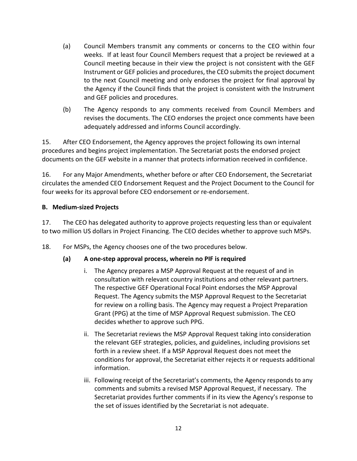- (a) Council Members transmit any comments or concerns to the CEO within four weeks. If at least four Council Members request that a project be reviewed at a Council meeting because in their view the project is not consistent with the GEF Instrument or GEF policies and procedures, the CEO submits the project document to the next Council meeting and only endorses the project for final approval by the Agency if the Council finds that the project is consistent with the Instrument and GEF policies and procedures.
- (b) The Agency responds to any comments received from Council Members and revises the documents. The CEO endorses the project once comments have been adequately addressed and informs Council accordingly.

15. After CEO Endorsement, the Agency approves the project following its own internal procedures and begins project implementation. The Secretariat posts the endorsed project documents on the GEF website in a manner that protects information received in confidence.

<span id="page-14-0"></span>16. For any Major Amendments, whether before or after CEO Endorsement, the Secretariat circulates the amended CEO Endorsement Request and the Project Document to the Council for four weeks for its approval before CEO endorsement or re-endorsement.

#### **B. Medium-sized Projects**

17. The CEO has delegated authority to approve projects requesting less than or equivalent to two million US dollars in Project Financing. The CEO decides whether to approve such MSPs.

<span id="page-14-1"></span>18. For MSPs, the Agency chooses one of the two procedures below.

# **(a) A one-step approval process, wherein no PIF is required**

- i. The Agency prepares a MSP Approval Request at the request of and in consultation with relevant country institutions and other relevant partners. The respective GEF Operational Focal Point endorses the MSP Approval Request. The Agency submits the MSP Approval Request to the Secretariat for review on a rolling basis. The Agency may request a Project Preparation Grant (PPG) at the time of MSP Approval Request submission. The CEO decides whether to approve such PPG.
- ii. The Secretariat reviews the MSP Approval Request taking into consideration the relevant GEF strategies, policies, and guidelines, including provisions set forth in a review sheet. If a MSP Approval Request does not meet the conditions for approval, the Secretariat either rejects it or requests additional information.
- iii. Following receipt of the Secretariat's comments, the Agency responds to any comments and submits a revised MSP Approval Request, if necessary. The Secretariat provides further comments if in its view the Agency's response to the set of issues identified by the Secretariat is not adequate.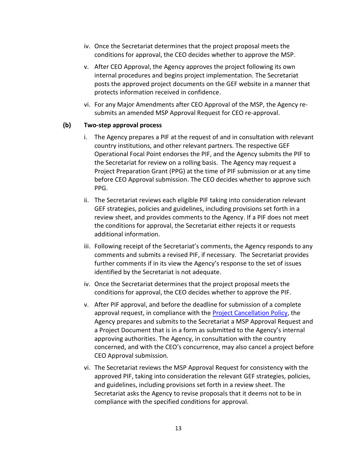- iv. Once the Secretariat determines that the project proposal meets the conditions for approval, the CEO decides whether to approve the MSP.
- v. After CEO Approval, the Agency approves the project following its own internal procedures and begins project implementation. The Secretariat posts the approved project documents on the GEF website in a manner that protects information received in confidence.
- vi. For any Major Amendments after CEO Approval of the MSP, the Agency resubmits an amended MSP Approval Request for CEO re-approval.

#### **(b) Two-step approval process**

- i. The Agency prepares a PIF at the request of and in consultation with relevant country institutions, and other relevant partners. The respective GEF Operational Focal Point endorses the PIF, and the Agency submits the PIF to the Secretariat for review on a rolling basis. The Agency may request a Project Preparation Grant (PPG) at the time of PIF submission or at any time before CEO Approval submission. The CEO decides whether to approve such PPG.
- ii. The Secretariat reviews each eligible PIF taking into consideration relevant GEF strategies, policies and guidelines, including provisions set forth in a review sheet, and provides comments to the Agency. If a PIF does not meet the conditions for approval, the Secretariat either rejects it or requests additional information.
- iii. Following receipt of the Secretariat's comments, the Agency responds to any comments and submits a revised PIF, if necessary. The Secretariat provides further comments if in its view the Agency's response to the set of issues identified by the Secretariat is not adequate.
- iv. Once the Secretariat determines that the project proposal meets the conditions for approval, the CEO decides whether to approve the PIF.
- v. After PIF approval, and before the deadline for submission of a complete approval request, in compliance with the [Project Cancellation Policy,](file://///WB.AD.WORLDBANK.ORG/und$/wb327828/L/Operations/Documents/Cancellation_Policy_June_2015_0.pdf) the Agency prepares and submits to the Secretariat a MSP Approval Request and a Project Document that is in a form as submitted to the Agency's internal approving authorities. The Agency, in consultation with the country concerned, and with the CEO's concurrence, may also cancel a project before CEO Approval submission.
- vi. The Secretariat reviews the MSP Approval Request for consistency with the approved PIF, taking into consideration the relevant GEF strategies, policies, and guidelines, including provisions set forth in a review sheet. The Secretariat asks the Agency to revise proposals that it deems not to be in compliance with the specified conditions for approval.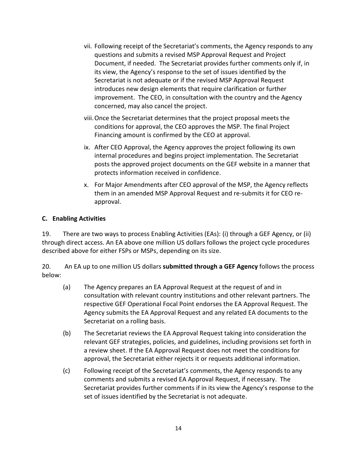- vii. Following receipt of the Secretariat's comments, the Agency responds to any questions and submits a revised MSP Approval Request and Project Document, if needed. The Secretariat provides further comments only if, in its view, the Agency's response to the set of issues identified by the Secretariat is not adequate or if the revised MSP Approval Request introduces new design elements that require clarification or further improvement. The CEO, in consultation with the country and the Agency concerned, may also cancel the project.
- viii.Once the Secretariat determines that the project proposal meets the conditions for approval, the CEO approves the MSP. The final Project Financing amount is confirmed by the CEO at approval.
- ix. After CEO Approval, the Agency approves the project following its own internal procedures and begins project implementation. The Secretariat posts the approved project documents on the GEF website in a manner that protects information received in confidence.
- x. For Major Amendments after CEO approval of the MSP, the Agency reflects them in an amended MSP Approval Request and re-submits it for CEO reapproval.

### **C. Enabling Activities**

19. There are two ways to process Enabling Activities (EAs): (i) through a GEF Agency, or (ii) through direct access. An EA above one million US dollars follows the project cycle procedures described above for either FSPs or MSPs, depending on its size.

<span id="page-16-0"></span>20. An EA up to one million US dollars **submitted through a GEF Agency** follows the process below:

- (a) The Agency prepares an EA Approval Request at the request of and in consultation with relevant country institutions and other relevant partners. The respective GEF Operational Focal Point endorses the EA Approval Request. The Agency submits the EA Approval Request and any related EA documents to the Secretariat on a rolling basis.
- (b) The Secretariat reviews the EA Approval Request taking into consideration the relevant GEF strategies, policies, and guidelines, including provisions set forth in a review sheet. If the EA Approval Request does not meet the conditions for approval, the Secretariat either rejects it or requests additional information.
- (c) Following receipt of the Secretariat's comments, the Agency responds to any comments and submits a revised EA Approval Request, if necessary. The Secretariat provides further comments if in its view the Agency's response to the set of issues identified by the Secretariat is not adequate.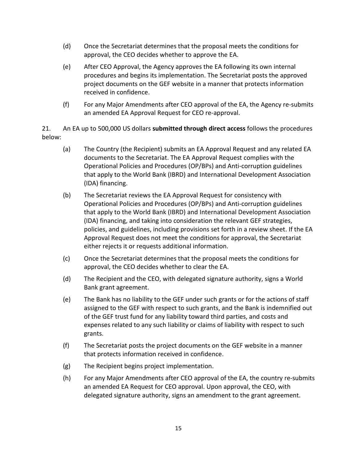- (d) Once the Secretariat determines that the proposal meets the conditions for approval, the CEO decides whether to approve the EA.
- (e) After CEO Approval, the Agency approves the EA following its own internal procedures and begins its implementation. The Secretariat posts the approved project documents on the GEF website in a manner that protects information received in confidence.
- (f) For any Major Amendments after CEO approval of the EA, the Agency re-submits an amended EA Approval Request for CEO re-approval.

<span id="page-17-0"></span>21. An EA up to 500,000 US dollars **submitted through direct access** follows the procedures below:

- (a) The Country (the Recipient) submits an EA Approval Request and any related EA documents to the Secretariat. The EA Approval Request complies with the Operational Policies and Procedures (OP/BPs) and Anti-corruption guidelines that apply to the World Bank (IBRD) and International Development Association (IDA) financing.
- (b) The Secretariat reviews the EA Approval Request for consistency with Operational Policies and Procedures (OP/BPs) and Anti-corruption guidelines that apply to the World Bank (IBRD) and International Development Association (IDA) financing, and taking into consideration the relevant GEF strategies, policies, and guidelines, including provisions set forth in a review sheet. If the EA Approval Request does not meet the conditions for approval, the Secretariat either rejects it or requests additional information.
- (c) Once the Secretariat determines that the proposal meets the conditions for approval, the CEO decides whether to clear the EA.
- (d) The Recipient and the CEO, with delegated signature authority, signs a World Bank grant agreement.
- (e) The Bank has no liability to the GEF under such grants or for the actions of staff assigned to the GEF with respect to such grants, and the Bank is indemnified out of the GEF trust fund for any liability toward third parties, and costs and expenses related to any such liability or claims of liability with respect to such grants.
- (f) The Secretariat posts the project documents on the GEF website in a manner that protects information received in confidence.
- (g) The Recipient begins project implementation.
- (h) For any Major Amendments after CEO approval of the EA, the country re-submits an amended EA Request for CEO approval. Upon approval, the CEO, with delegated signature authority, signs an amendment to the grant agreement.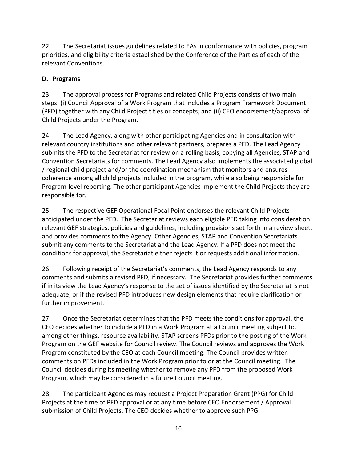22. The Secretariat issues guidelines related to EAs in conformance with policies, program priorities, and eligibility criteria established by the Conference of the Parties of each of the relevant Conventions.

# **D. Programs**

23. The approval process for Programs and related Child Projects consists of two main steps: (i) Council Approval of a Work Program that includes a Program Framework Document (PFD) together with any Child Project titles or concepts; and (ii) CEO endorsement/approval of Child Projects under the Program.

24. The Lead Agency, along with other participating Agencies and in consultation with relevant country institutions and other relevant partners, prepares a PFD. The Lead Agency submits the PFD to the Secretariat for review on a rolling basis, copying all Agencies, STAP and Convention Secretariats for comments. The Lead Agency also implements the associated global / regional child project and/or the coordination mechanism that monitors and ensures coherence among all child projects included in the program, while also being responsible for Program-level reporting. The other participant Agencies implement the Child Projects they are responsible for.

<span id="page-18-0"></span>25. The respective GEF Operational Focal Point endorses the relevant Child Projects anticipated under the PFD. The Secretariat reviews each eligible PFD taking into consideration relevant GEF strategies, policies and guidelines, including provisions set forth in a review sheet, and provides comments to the Agency. Other Agencies, STAP and Convention Secretariats submit any comments to the Secretariat and the Lead Agency. If a PFD does not meet the conditions for approval, the Secretariat either rejects it or requests additional information.

26. Following receipt of the Secretariat's comments, the Lead Agency responds to any comments and submits a revised PFD, if necessary. The Secretariat provides further comments if in its view the Lead Agency's response to the set of issues identified by the Secretariat is not adequate, or if the revised PFD introduces new design elements that require clarification or further improvement.

27. Once the Secretariat determines that the PFD meets the conditions for approval, the CEO decides whether to include a PFD in a Work Program at a Council meeting subject to, among other things, resource availability. STAP screens PFDs prior to the posting of the Work Program on the GEF website for Council review. The Council reviews and approves the Work Program constituted by the CEO at each Council meeting. The Council provides written comments on PFDs included in the Work Program prior to or at the Council meeting. The Council decides during its meeting whether to remove any PFD from the proposed Work Program, which may be considered in a future Council meeting.

28. The participant Agencies may request a Project Preparation Grant (PPG) for Child Projects at the time of PFD approval or at any time before CEO Endorsement / Approval submission of Child Projects. The CEO decides whether to approve such PPG.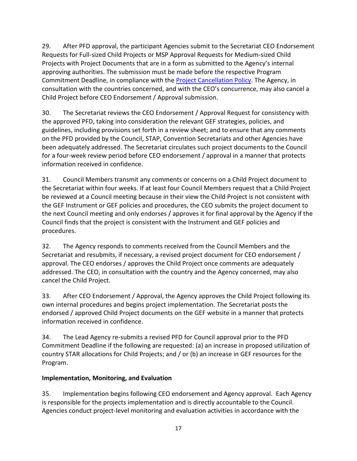29. After PFD approval, the participant Agencies submit to the Secretariat CEO Endorsement Requests for Full-sized Child Projects or MSP Approval Requests for Medium-sized Child Projects with Project Documents that are in a form as submitted to the Agency's internal approving authorities. The submission must be made before the respective Program Commitment Deadline, in compliance with the [Project Cancellation Policy.](file://///WB.AD.WORLDBANK.ORG/und$/wb327828/L/Operations/Documents/Cancellation_Policy_June_2015_0.pdf) The Agency, in consultation with the countries concerned, and with the CEO's concurrence, may also cancel a Child Project before CEO Endorsement / Approval submission.

30. The Secretariat reviews the CEO Endorsement / Approval Request for consistency with the approved PFD, taking into consideration the relevant GEF strategies, policies, and guidelines, including provisions set forth in a review sheet; and to ensure that any comments on the PFD provided by the Council, STAP, Convention Secretariats and other Agencies have been adequately addressed. The Secretariat circulates such project documents to the Council for a four-week review period before CEO endorsement / approval in a manner that protects information received in confidence.

31. Council Members transmit any comments or concerns on a Child Project document to the Secretariat within four weeks. If at least four Council Members request that a Child Project be reviewed at a Council meeting because in their view the Child Project is not consistent with the GEF Instrument or GEF policies and procedures, the CEO submits the project document to the next Council meeting and only endorses / approves it for final approval by the Agency if the Council finds that the project is consistent with the Instrument and GEF policies and procedures.

32. The Agency responds to comments received from the Council Members and the Secretariat and resubmits, if necessary, a revised project document for CEO endorsement / approval. The CEO endorses / approves the Child Project once comments are adequately addressed. The CEO, in consultation with the country and the Agency concerned, may also cancel the Child Project.

33. After CEO Endorsement / Approval, the Agency approves the Child Project following its own internal procedures and begins project implementation. The Secretariat posts the endorsed / approved Child Project documents on the GEF website in a manner that protects information received in confidence.

34. The Lead Agency re-submits a revised PFD for Council approval prior to the PFD Commitment Deadline if the following are requested: (a) an increase in proposed utilization of country STAR allocations for Child Projects; and / or (b) an increase in GEF resources for the Program.

# **Implementation, Monitoring, and Evaluation**

35. Implementation begins following CEO endorsement and Agency approval. Each Agency is responsible for the projects implementation and is directly accountable to the Council. Agencies conduct project-level monitoring and evaluation activities in accordance with the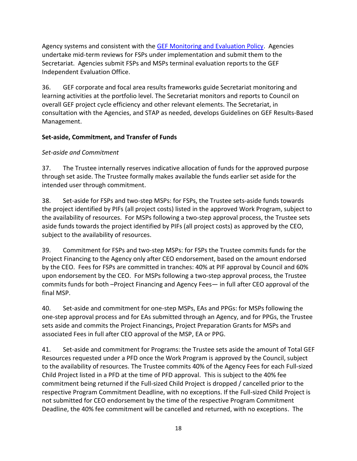Agency systems and consistent with the [GEF Monitoring and Evaluation Policy.](file://///WB.AD.WORLDBANK.ORG/und$/wb327828/L/Operations/Documents/ME_Policy_2010.pdf) Agencies undertake mid-term reviews for FSPs under implementation and submit them to the Secretariat. Agencies submit FSPs and MSPs terminal evaluation reports to the GEF Independent Evaluation Office.

36. GEF corporate and focal area results frameworks guide Secretariat monitoring and learning activities at the portfolio level. The Secretariat monitors and reports to Council on overall GEF project cycle efficiency and other relevant elements. The Secretariat, in consultation with the Agencies, and STAP as needed, develops Guidelines on GEF Results-Based Management.

### **Set-aside, Commitment, and Transfer of Funds**

### *Set-aside and Commitment*

<span id="page-20-1"></span>37. The Trustee internally reserves indicative allocation of funds for the approved purpose through set aside. The Trustee formally makes available the funds earlier set aside for the intended user through commitment.

38. Set-aside for FSPs and two-step MSPs: for FSPs, the Trustee sets-aside funds towards the project identified by PIFs (all project costs) listed in the approved Work Program, subject to the availability of resources. For MSPs following a two-step approval process, the Trustee sets aside funds towards the project identified by PIFs (all project costs) as approved by the CEO, subject to the availability of resources.

39. Commitment for FSPs and two-step MSPs: for FSPs the Trustee commits funds for the Project Financing to the Agency only after CEO endorsement, based on the amount endorsed by the CEO. Fees for FSPs are committed in tranches: 40% at PIF approval by Council and 60% upon endorsement by the CEO. For MSPs following a two-step approval process, the Trustee commits funds for both –Project Financing and Agency Fees— in full after CEO approval of the final MSP.

40. Set-aside and commitment for one-step MSPs, EAs and PPGs: for MSPs following the one-step approval process and for EAs submitted through an Agency, and for PPGs, the Trustee sets aside and commits the Project Financings, Project Preparation Grants for MSPs and associated Fees in full after CEO approval of the MSP, EA or PPG.

<span id="page-20-0"></span>41. Set-aside and commitment for Programs: the Trustee sets aside the amount of Total GEF Resources requested under a PFD once the Work Program is approved by the Council, subject to the availability of resources. The Trustee commits 40% of the Agency Fees for each Full-sized Child Project listed in a PFD at the time of PFD approval. This is subject to the 40% fee commitment being returned if the Full-sized Child Project is dropped / cancelled prior to the respective Program Commitment Deadline, with no exceptions. If the Full-sized Child Project is not submitted for CEO endorsement by the time of the respective Program Commitment Deadline, the 40% fee commitment will be cancelled and returned, with no exceptions. The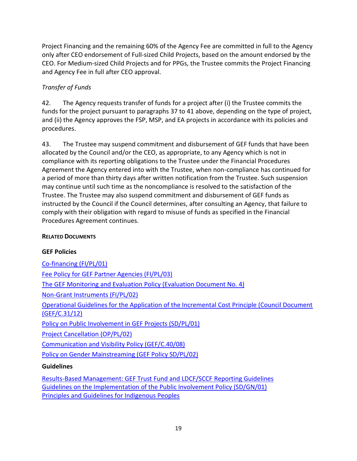Project Financing and the remaining 60% of the Agency Fee are committed in full to the Agency only after CEO endorsement of Full-sized Child Projects, based on the amount endorsed by the CEO. For Medium-sized Child Projects and for PPGs, the Trustee commits the Project Financing and Agency Fee in full after CEO approval.

# *Transfer of Funds*

42. The Agency requests transfer of funds for a project after (i) the Trustee commits the funds for the project pursuant to paragraphs [37](#page-20-1) to [41](#page-20-0) above, depending on the type of project, and (ii) the Agency approves the FSP, MSP, and EA projects in accordance with its policies and procedures.

43. The Trustee may suspend commitment and disbursement of GEF funds that have been allocated by the Council and/or the CEO, as appropriate, to any Agency which is not in compliance with its reporting obligations to the Trustee under the Financial Procedures Agreement the Agency entered into with the Trustee, when non-compliance has continued for a period of more than thirty days after written notification from the Trustee. Such suspension may continue until such time as the noncompliance is resolved to the satisfaction of the Trustee. The Trustee may also suspend commitment and disbursement of GEF funds as instructed by the Council if the Council determines, after consulting an Agency, that failure to comply with their obligation with regard to misuse of funds as specified in the Financial Procedures Agreement continues.

#### **RELATED DOCUMENTS**

#### **GEF Policies**

[Co-financing \(FI/PL/01\)](https://www.thegef.org/gef/sites/thegef.org/files/documents/document/Co-financing_Policy-2014.pd) [Fee Policy for GEF Partner Agencies \(FI/PL/03\)](https://www.thegef.org/gef/sites/thegef.org/files/documents/document/Agency_Fee_Policy-2012.pdf) [The GEF Monitoring and Evaluation Policy \(Evaluation Document No. 4\)](https://www.thegef.org/gef/policies_guidelines/monitoring-and-evaluation)  [Non-Grant Instruments \(FI/PL/02\)](https://www.thegef.org/gef/sites/thegef.org/files/documents/document/NonGrant_Instruments_Policy-2014.pdf) [Operational Guidelines for the Application of the Incremental Cost Principle \(Council Document](https://www.thegef.org/gef/sites/thegef.org/files/documents/C.31.12%20Operational%20Guidelines%20for%20Incremental%20Costs.pdf)  [\(GEF/C.31/12\)](https://www.thegef.org/gef/sites/thegef.org/files/documents/C.31.12%20Operational%20Guidelines%20for%20Incremental%20Costs.pdf) [Policy on Public Involvement in GEF Projects \(SD/PL/01\)](https://www.thegef.org/gef/policies_guidelines/public_involvement) [Project Cancellation \(OP/PL/02\)](https://www.thegef.org/gef/sites/thegef.org/files/documents/document/Cancellation_Policy_June_2015.pdf) [Communication and Visibility Policy \(GEF/C.40/08\)](https://www.thegef.org/gef/sites/thegef.org/files/documents/document/C.40.08_Visibility-2011.pdf) [Policy on Gender Mainstreaming \(GEF Policy SD/PL/02\)](file:///C:/Users/wb383758/AppData/Local/Microsoft/Windows/Operations/Documents/Gender_Mainstreaming_Policy-2012.pdf) **Guidelines**

[Results-Based Management: GEF Trust Fund and LDCF/SCCF Reporting Guidelines](https://hubs.worldbank.org/news/Pages/Planning-Today-for-Rebuilding-Tomorrows-Syria--26042016-165623.aspx) [Guidelines on the Implementation of the Public Involvement Policy \(SD/GN/01\)](https://www.thegef.org/gef/sites/thegef.org/files/documents/document/Guideline%20for%20Implementation%20of%20Public%20Involvement%20Policy_2014.pdf) [Principles and Guidelines for Indigenous Peoples](https://www.thegef.org/gef/policies_guidelines/indigenous_peoples)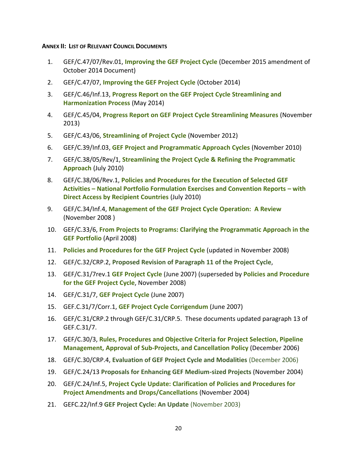<span id="page-22-0"></span>**ANNEX II: LIST OF RELEVANT COUNCIL DOCUMENTS**

- 1. GEF/C.47/07/Rev.01, **[Improving the GEF Project Cycle](http://www.thegef.org/gef/node/10888)** (December 2015 amendment of October 2014 Document)
- 2. GEF/C.47/07, **[Improving the GEF Project Cycle](http://www.thegef.org/gef/node/10888)** (October 2014)
- 3. GEF/C.46/Inf.13, **[Progress Report on the GEF Project Cycle Streamlining and](http://www.thegef.org/gef/node/10477)  [Harmonization Process](http://www.thegef.org/gef/node/10477)** (May 2014)
- 4. GEF/C.45/04, **[Progress Report on GEF Project Cycle Streamlining Measures](http://www.thegef.org/gef/node/9995)** (November 2013)
- 5. GEF/C.43/06, **[Streamlining of Project Cycle](http://www.thegef.org/gef/council_document/streamlining-project-cycle)** (November 2012)
- 6. GEF/C.39/Inf.03, **[GEF Project and Programmatic Approach Cycles](http://www.thegef.org/gef/GEF_C39_Inf3_GEF_Project_and_Programmatic_Approach_Cycles)** (November 2010)
- 7. GEF/C.38/05/Rev/1, **[Streamlining the Project Cycle & Refining the Programmatic](http://www.thegef.org/gef/node/3225)  [Approach](http://www.thegef.org/gef/node/3225)** (July 2010)
- 8. GEF/C.38/06/Rev.1, **[Policies and Procedures for the Execution of Selected GEF](https://www.thegef.org/gef/node/3221)  Activities – [National Portfolio Formulation Exercises and Convention Reports](https://www.thegef.org/gef/node/3221) – with [Direct Access by Recipient Countries](https://www.thegef.org/gef/node/3221)** (July 2010)
- 9. GEF/C.34/Inf.4, **[Management of the GEF Project Cycle Operation:](http://www.thegef.org/gef/sites/thegef.org/files/documents/C.34.Inf_.4%20GEF%20Project%20Cycle.pdf) A Review** (November 2008 )
- 10. GEF/C.33/6, **[From Projects to Programs: Clarifying the Programmatic Approach in the](http://www.thegef.org/gef/node/289)  [GEF Portfolio](http://www.thegef.org/gef/node/289)** (April 2008)
- 11. **[Policies and Procedures for the GEF Project Cycle](http://www.thegef.org/gef/sites/thegef.org/files/documents/GEF%20Policies%20and%20Procedures%20for%20GEF%20Project%20Cycle.pdf)** (updated in November 2008)
- 12. GEF/C.32/CRP.2, **Proposed Revision of Paragraph 11 of the Project Cycle**,
- 13. GEF/C.31/7rev.1 **[GEF Project Cycle](http://www.thegef.org/gef/node/412)** (June 2007) (superseded by **[Policies and Procedure](http://www.thegef.org/gef/node/2165)  [for the GEF Project Cycle](http://www.thegef.org/gef/node/2165)**, November 2008)
- 14. GEF/C.31/7, **[GEF Project Cycle](http://thegef.org/uploadedFiles/Documents/Council_Documents__%28PDF_DOC%29/GEF_31/C.31.7%20GEF%20Project%20Cycle.pdf)** (June 2007)
- 15. GEF.C.31/7/Corr.1, **[GEF Project Cycle Corrigendum](http://thegef.org/uploadedFiles/Documents/Council_Documents__%28PDF_DOC%29/GEF_31/C.31.7.Corr.1%20GEF%20Project%20Cycle%20Corrigendum.pdf)** (June 2007)
- 16. GEF/C.31/CRP.2 through GEF/C.31/CRP.5. These documents updated paragraph 13 of GEF.C.31/7.
- 17. GEF/C.30/3, **[Rules, Procedures and Objective Criteria for Project Selection, Pipeline](http://www.thegef.org/gef/node/472)  [Management, Approval of Sub-Projects, and Cancellation Policy](http://www.thegef.org/gef/node/472)** (December 2006)
- 18. GEF/C.30/CRP.4, **Evaluation of GEF Project Cycle and Modalities** (December 2006)
- 19. GEF/C.24/13 **Proposals for Enhancing GEF Medium-sized Projects** (November 2004)
- 20. GEF/C.24/Inf.5, **[Project Cycle Update: Clarification of Policies and Procedures for](http://www.thegef.org/gef/node/1461)  [Project Amendments and Drops/Cancellations](http://www.thegef.org/gef/node/1461)** (November 2004)
- 21. GEFC.22/Inf.9 **GEF Project Cycle: An Update** (November 2003)